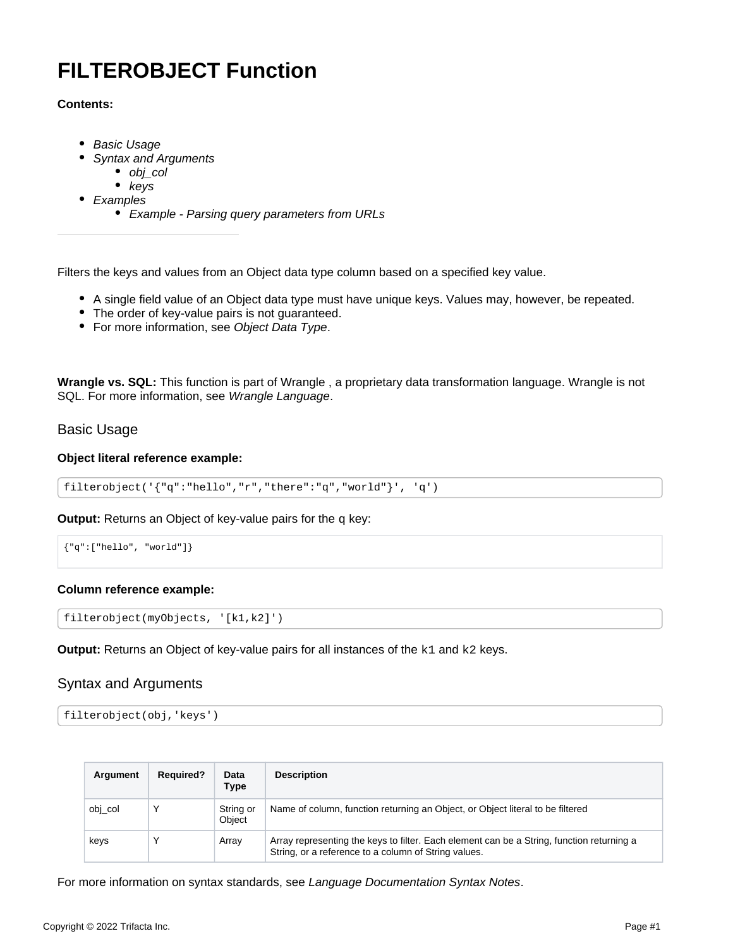# <span id="page-0-3"></span>**FILTEROBJECT Function**

## **Contents:**

- [Basic Usage](#page-0-0)
- [Syntax and Arguments](#page-0-1)
	- [obj\\_col](#page-0-2)
	- $\bullet$  [keys](#page-1-0)
- [Examples](#page-1-1)
	- [Example Parsing query parameters from URLs](#page-1-2)

Filters the keys and values from an Object data type column based on a specified key value.

- A single field value of an Object data type must have unique keys. Values may, however, be repeated.
- The order of key-value pairs is not guaranteed.
- For more information, see [Object Data Type](https://docs.trifacta.com/display/r087/Object+Data+Type).

**Wrangle vs. SQL:** This function is part of Wrangle , a proprietary data transformation language. Wrangle is not SQL. For more information, see [Wrangle Language](https://docs.trifacta.com/display/r087/Wrangle+Language).

# <span id="page-0-0"></span>Basic Usage

## **Object literal reference example:**

```
filterobject('{"q":"hello","r","there":"q","world"}', 'q')
```
**Output:** Returns an Object of key-value pairs for the q key:

```
{"q":["hello", "world"]}
```
## **Column reference example:**

```
filterobject(myObjects, '[k1,k2]')
```
**Output:** Returns an Object of key-value pairs for all instances of the k1 and k2 keys.

# <span id="page-0-1"></span>Syntax and Arguments

```
filterobject(obj,'keys')
```

| Argument | <b>Required?</b> | Data<br>Type        | <b>Description</b>                                                                                                                                |
|----------|------------------|---------------------|---------------------------------------------------------------------------------------------------------------------------------------------------|
| obj_col  |                  | String or<br>Object | Name of column, function returning an Object, or Object literal to be filtered                                                                    |
| keys     |                  | Array               | Array representing the keys to filter. Each element can be a String, function returning a<br>String, or a reference to a column of String values. |

<span id="page-0-2"></span>For more information on syntax standards, see [Language Documentation Syntax Notes](https://docs.trifacta.com/display/r087/Language+Documentation+Syntax+Notes).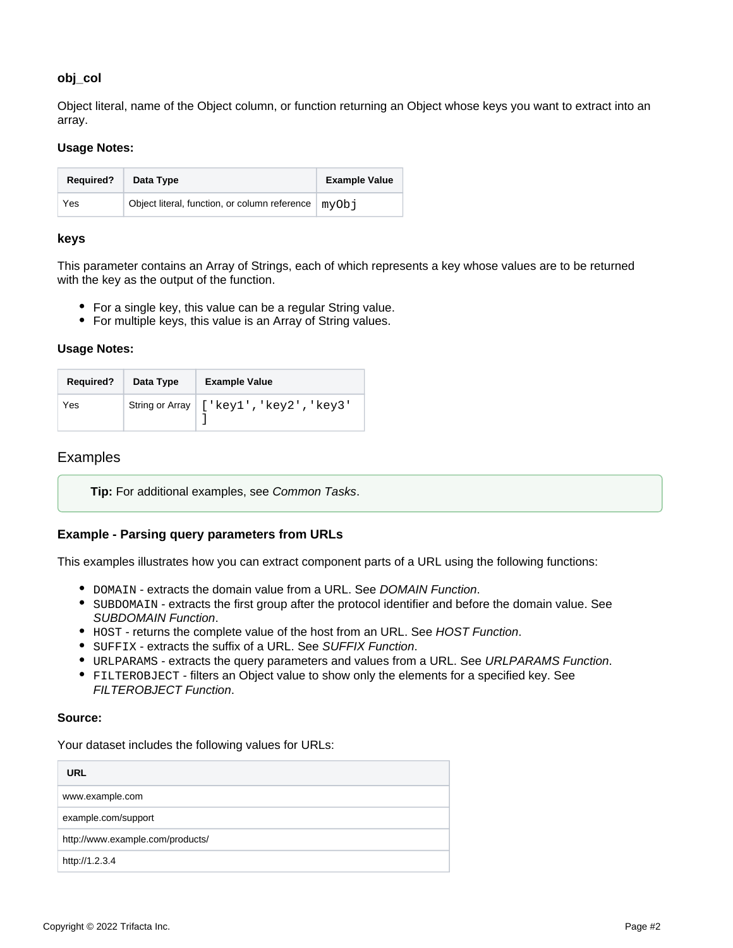## **obj\_col**

Object literal, name of the Object column, or function returning an Object whose keys you want to extract into an array.

#### **Usage Notes:**

| <b>Required?</b> | Data Type                                                        | <b>Example Value</b> |
|------------------|------------------------------------------------------------------|----------------------|
| Yes              | Object literal, function, or column reference $\mid$ myOb $\mid$ |                      |

#### <span id="page-1-0"></span>**keys**

This parameter contains an Array of Strings, each of which represents a key whose values are to be returned with the key as the output of the function.

- For a single key, this value can be a regular String value.
- For multiple keys, this value is an Array of String values.

#### **Usage Notes:**

| <b>Required?</b> | Data Type | <b>Example Value</b>                      |
|------------------|-----------|-------------------------------------------|
| Yes              |           | String or Array   ['key1', 'key2', 'key3' |

## <span id="page-1-1"></span>Examples

**Tip:** For additional examples, see [Common Tasks](https://docs.trifacta.com/display/r087/Common+Tasks).

## <span id="page-1-2"></span>**Example - Parsing query parameters from URLs**

This examples illustrates how you can extract component parts of a URL using the following functions:

- DOMAIN extracts the domain value from a URL. See [DOMAIN Function](https://docs.trifacta.com/display/r087/DOMAIN+Function).
- SUBDOMAIN extracts the first group after the protocol identifier and before the domain value. See [SUBDOMAIN Function](https://docs.trifacta.com/display/r087/SUBDOMAIN+Function).
- HOST returns the complete value of the host from an URL. See [HOST Function](https://docs.trifacta.com/display/r087/HOST+Function).
- SUFFIX extracts the suffix of a URL. See [SUFFIX Function](https://docs.trifacta.com/display/r087/SUFFIX+Function).
- $\bullet$  URLPARAMS extracts the query parameters and values from a URL. See [URLPARAMS Function](https://docs.trifacta.com/display/r087/URLPARAMS+Function).
- FILTEROBJECT filters an Object value to show only the elements for a specified key. See [FILTEROBJECT Function](#page-0-3).

## **Source:**

Your dataset includes the following values for URLs:

| <b>URL</b>                       |  |
|----------------------------------|--|
| www.example.com                  |  |
| example.com/support              |  |
| http://www.example.com/products/ |  |
| http://1.2.3.4                   |  |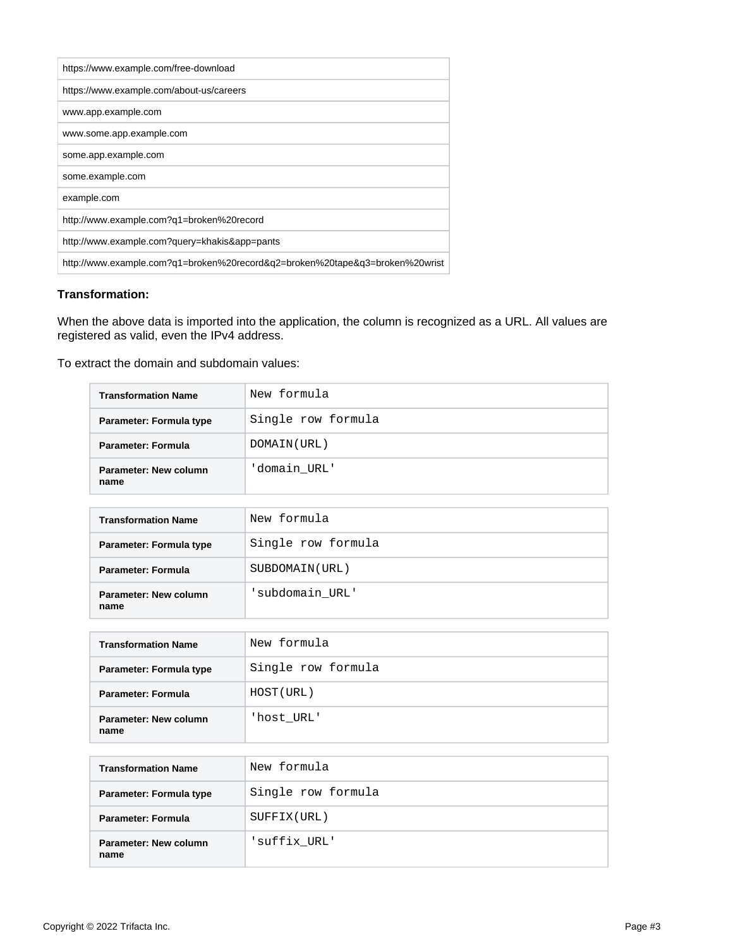| https://www.example.com/free-download                                        |
|------------------------------------------------------------------------------|
| https://www.example.com/about-us/careers                                     |
| www.app.example.com                                                          |
| www.some.app.example.com                                                     |
| some.app.example.com                                                         |
| some.example.com                                                             |
| example.com                                                                  |
| http://www.example.com?q1=broken%20record                                    |
| http://www.example.com?query=khakis&app=pants                                |
| http://www.example.com?g1=broken%20record&g2=broken%20tape&g3=broken%20wrist |

## **Transformation:**

When the above data is imported into the application, the column is recognized as a URL. All values are registered as valid, even the IPv4 address.

To extract the domain and subdomain values:

| <b>Transformation Name</b>    | New formula        |
|-------------------------------|--------------------|
| Parameter: Formula type       | Single row formula |
| Parameter: Formula            | DOMAIN (URL)       |
| Parameter: New column<br>name | 'domain URL'       |

| <b>Transformation Name</b>    | New formula        |
|-------------------------------|--------------------|
| Parameter: Formula type       | Single row formula |
| <b>Parameter: Formula</b>     | SUBDOMAIN (URL)    |
| Parameter: New column<br>name | subdomain URL'     |

| <b>Transformation Name</b>    | New formula        |
|-------------------------------|--------------------|
| Parameter: Formula type       | Single row formula |
| Parameter: Formula            | HOST (URL)         |
| Parameter: New column<br>name | 'host URL'         |

| <b>Transformation Name</b>    | New formula        |
|-------------------------------|--------------------|
| Parameter: Formula type       | Single row formula |
| Parameter: Formula            | SUFFIX (URL)       |
| Parameter: New column<br>name | 'suffix URL'       |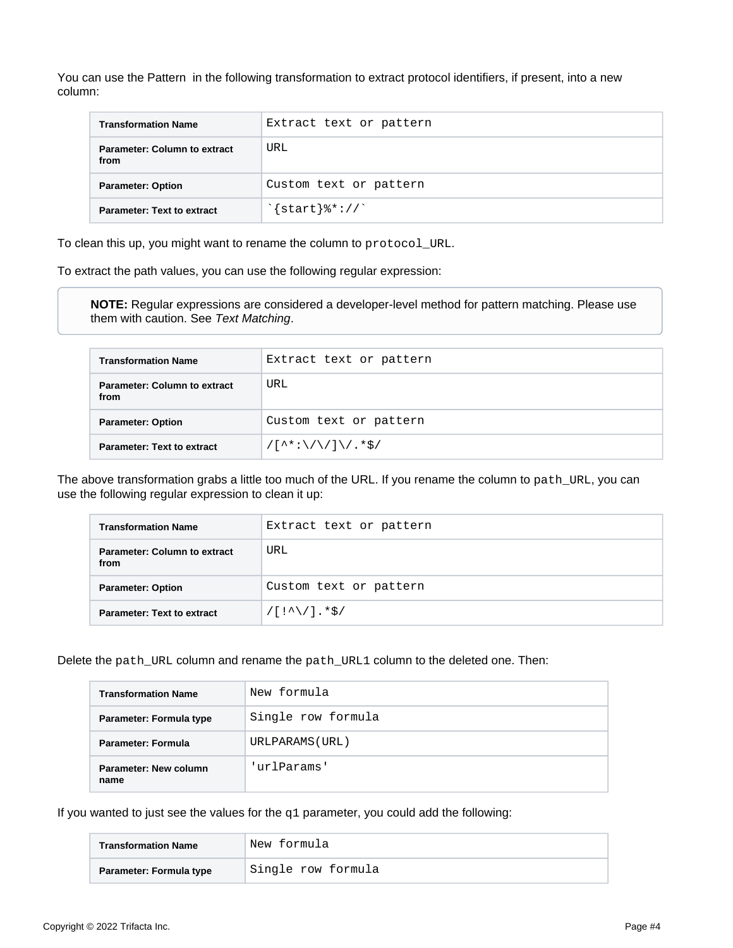You can use the Pattern in the following transformation to extract protocol identifiers, if present, into a new column:

| <b>Transformation Name</b>                  | Extract text or pattern                |
|---------------------------------------------|----------------------------------------|
| <b>Parameter: Column to extract</b><br>from | URL                                    |
| <b>Parameter: Option</b>                    | Custom text or pattern                 |
| <b>Parameter: Text to extract</b>           | $\frac{1}{2}$ start $\frac{2}{3}$ : // |

To clean this up, you might want to rename the column to protocol\_URL.

To extract the path values, you can use the following regular expression:

**NOTE:** Regular expressions are considered a developer-level method for pattern matching. Please use them with caution. See [Text Matching](https://docs.trifacta.com/display/r087/Text+Matching).

| <b>Transformation Name</b>                  | Extract text or pattern                                                               |
|---------------------------------------------|---------------------------------------------------------------------------------------|
| <b>Parameter: Column to extract</b><br>from | URL                                                                                   |
| <b>Parameter: Option</b>                    | Custom text or pattern                                                                |
| <b>Parameter: Text to extract</b>           | $/[\uparrow\uparrow\downarrow:\setminus/\setminus/]\setminus/\cdot\uparrow\uparrow/\$ |

The above transformation grabs a little too much of the URL. If you rename the column to path\_URL, you can use the following regular expression to clean it up:

| <b>Transformation Name</b>                  | Extract text or pattern |
|---------------------------------------------|-------------------------|
| <b>Parameter: Column to extract</b><br>from | URL                     |
| <b>Parameter: Option</b>                    | Custom text or pattern  |
| <b>Parameter: Text to extract</b>           | $/[!^{\wedge}/!]$ .*\$/ |

Delete the path\_URL column and rename the path\_URL1 column to the deleted one. Then:

| <b>Transformation Name</b>    | New formula        |
|-------------------------------|--------------------|
| Parameter: Formula type       | Single row formula |
| <b>Parameter: Formula</b>     | URLPARAMS (URL)    |
| Parameter: New column<br>name | 'urlParams'        |

If you wanted to just see the values for the  $q1$  parameter, you could add the following:

| <b>Transformation Name</b> | New formula        |
|----------------------------|--------------------|
| Parameter: Formula type    | Single row formula |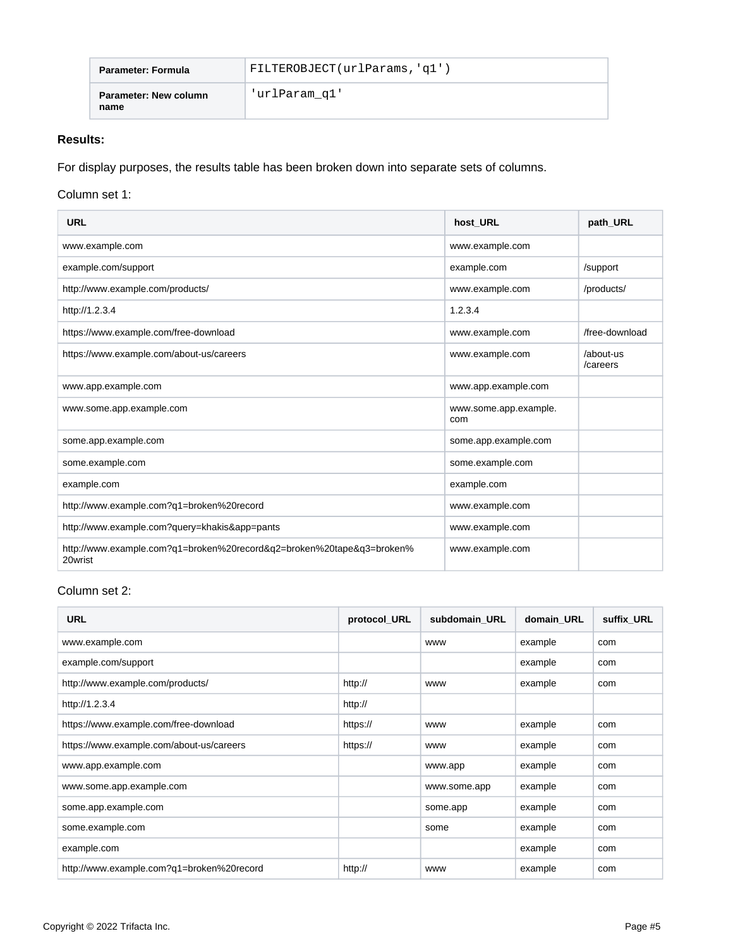| Parameter: Formula            | FILTEROBJECT(urlParams, 'q1') |
|-------------------------------|-------------------------------|
| Parameter: New column<br>name | 'urlParam q1'                 |

# **Results:**

For display purposes, the results table has been broken down into separate sets of columns.

## Column set 1:

| <b>URL</b>                                                                       | host URL                     | path URL              |
|----------------------------------------------------------------------------------|------------------------------|-----------------------|
| www.example.com                                                                  | www.example.com              |                       |
| example.com/support                                                              | example.com                  | /support              |
| http://www.example.com/products/                                                 | www.example.com              | /products/            |
| http://1.2.3.4                                                                   | 1.2.3.4                      |                       |
| https://www.example.com/free-download                                            | www.example.com              | /free-download        |
| https://www.example.com/about-us/careers                                         | www.example.com              | /about-us<br>/careers |
| www.app.example.com                                                              | www.app.example.com          |                       |
| www.some.app.example.com                                                         | www.some.app.example.<br>com |                       |
| some.app.example.com                                                             | some.app.example.com         |                       |
| some.example.com                                                                 | some.example.com             |                       |
| example.com                                                                      | example.com                  |                       |
| http://www.example.com?q1=broken%20record                                        | www.example.com              |                       |
| http://www.example.com?query=khakis&app=pants                                    | www.example.com              |                       |
| http://www.example.com?q1=broken%20record&q2=broken%20tape&q3=broken%<br>20wrist | www.example.com              |                       |

# Column set 2:

| <b>URL</b>                                | protocol_URL | subdomain URL | domain URL | suffix_URL |
|-------------------------------------------|--------------|---------------|------------|------------|
| www.example.com                           |              | <b>WWW</b>    | example    | com        |
| example.com/support                       |              |               | example    | com        |
| http://www.example.com/products/          | http://      | <b>WWW</b>    | example    | com        |
| http://1.2.3.4                            | http://      |               |            |            |
| https://www.example.com/free-download     | https://     | <b>WWW</b>    | example    | com        |
| https://www.example.com/about-us/careers  | https://     | <b>WWW</b>    | example    | com        |
| www.app.example.com                       |              | www.app       | example    | com        |
| www.some.app.example.com                  |              | www.some.app  | example    | com        |
| some.app.example.com                      |              | some.app      | example    | com        |
| some.example.com                          |              | some          | example    | com        |
| example.com                               |              |               | example    | com        |
| http://www.example.com?q1=broken%20record | http://      | <b>WWW</b>    | example    | com        |